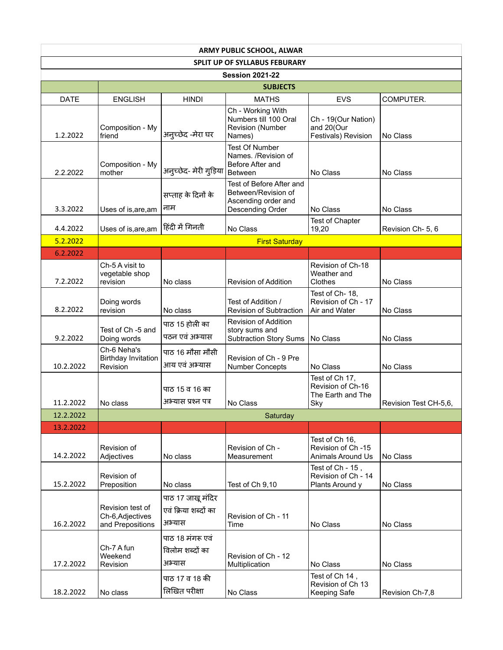| <b>ARMY PUBLIC SCHOOL, ALWAR</b> |                                                          |                                                     |                                                                                            |                                                                  |                       |  |  |  |
|----------------------------------|----------------------------------------------------------|-----------------------------------------------------|--------------------------------------------------------------------------------------------|------------------------------------------------------------------|-----------------------|--|--|--|
|                                  |                                                          |                                                     | <b>SPLIT UP OF SYLLABUS FEBURARY</b>                                                       |                                                                  |                       |  |  |  |
| <b>Session 2021-22</b>           |                                                          |                                                     |                                                                                            |                                                                  |                       |  |  |  |
|                                  |                                                          |                                                     | <b>SUBJECTS</b>                                                                            |                                                                  |                       |  |  |  |
| <b>DATE</b>                      | <b>ENGLISH</b>                                           | HINDI                                               | <b>MATHS</b>                                                                               | <b>EVS</b>                                                       | COMPUTER.             |  |  |  |
| 1.2.2022                         | Composition - My<br>friend                               | अनुच्छेद -मेरा घर                                   | Ch - Working With<br>Numbers till 100 Oral<br>Revision (Number<br>Names)                   | Ch - 19(Our Nation)<br>and 20(Our<br>Festivals) Revision         | No Class              |  |  |  |
| 2.2.2022                         | Composition - My<br>mother                               | अनुच्छेद- मेरी गुड़िया                              | <b>Test Of Number</b><br>Names. /Revision of<br>Before After and<br><b>Between</b>         | No Class                                                         | No Class              |  |  |  |
| 3.3.2022                         | Uses of is, are, am                                      | सप्ताह के दिनों के<br>नाम                           | Test of Before After and<br>Between/Revision of<br>Ascending order and<br>Descending Order | No Class                                                         | No Class              |  |  |  |
| 4.4.2022                         | Uses of is, are, am                                      | हिंदी में गिनती                                     | No Class                                                                                   | Test of Chapter<br>19,20                                         | Revision Ch- 5, 6     |  |  |  |
| 5.2.2022                         |                                                          |                                                     | <b>First Saturday</b>                                                                      |                                                                  |                       |  |  |  |
| 6.2.2022                         |                                                          |                                                     |                                                                                            |                                                                  |                       |  |  |  |
| 7.2.2022                         | Ch-5 A visit to<br>vegetable shop<br>revision            | No class                                            | <b>Revision of Addition</b>                                                                | Revision of Ch-18<br>Weather and<br>Clothes                      | No Class              |  |  |  |
| 8.2.2022                         | Doing words<br>revision                                  | No class                                            | Test of Addition /<br><b>Revision of Subtraction</b>                                       | Test of Ch-18,<br>Revision of Ch - 17<br>Air and Water           | No Class              |  |  |  |
| 9.2.2022                         | Test of Ch -5 and<br>Doing words                         | पाठ 15 होली का<br>पठन एवं अभ्यास                    | Revision of Addition<br>story sums and<br><b>Subtraction Story Sums</b>                    | No Class                                                         | No Class              |  |  |  |
| 10.2.2022                        | Ch-6 Neha's<br><b>Birthday Invitation</b><br>Revision    | पाठ 16 मौसा मौसी<br>आय एवं अभ्यास                   | Revision of Ch - 9 Pre<br><b>Number Concepts</b>                                           | No Class                                                         | No Class              |  |  |  |
| 11.2.2022                        | No class                                                 | पाठ 15 व 16 का<br>अभ्यास प्रश्न पत्र                | No Class                                                                                   | Test of Ch 17,<br>Revision of Ch-16<br>The Earth and The<br>Sky  | Revision Test CH-5,6, |  |  |  |
| 12.2.2022                        |                                                          |                                                     | Saturday                                                                                   |                                                                  |                       |  |  |  |
| 13.2.2022                        |                                                          |                                                     |                                                                                            |                                                                  |                       |  |  |  |
| 14.2.2022                        | Revision of<br>Adjectives                                | No class                                            | Revision of Ch -<br>Measurement                                                            | Test of Ch 16,<br>Revision of Ch -15<br><b>Animals Around Us</b> | No Class              |  |  |  |
| 15.2.2022                        | Revision of<br>Preposition                               | No class                                            | Test of Ch 9,10                                                                            | Test of Ch - 15,<br>Revision of Ch - 14<br>Plants Around y       | No Class              |  |  |  |
| 16.2.2022                        | Revision test of<br>Ch-6, Adjectives<br>and Prepositions | पाठ 17 जाखू मंदिर<br>एवं क्रिया शब्दों का<br>अभ्यास | Revision of Ch - 11<br>Time                                                                | No Class                                                         | No Class              |  |  |  |
| 17.2.2022                        | Ch-7 A fun<br>Weekend<br>Revision                        | पाठ 18 मंगरू एवं<br>विलोम शब्दों का<br>अभ्यास       | Revision of Ch - 12<br>Multiplication                                                      | No Class                                                         | No Class              |  |  |  |
| 18.2.2022                        | No class                                                 | पाठ 17 व 18 की<br>लिखित परीक्षा                     | No Class                                                                                   | Test of Ch 14,<br>Revision of Ch 13<br>Keeping Safe              | Revision Ch-7,8       |  |  |  |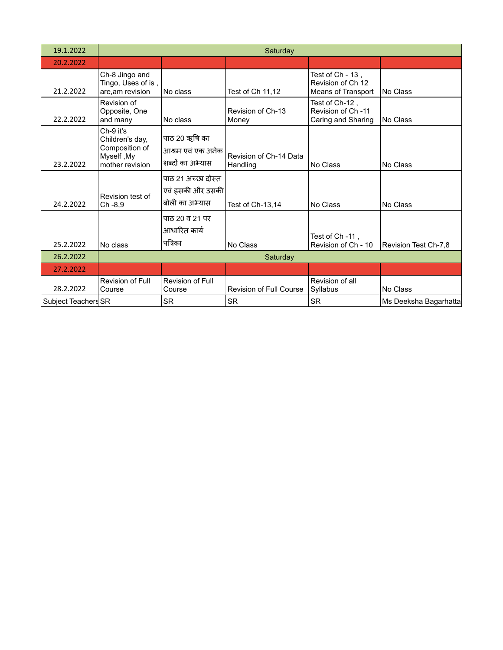| 19.1.2022           |                                                                                 | Saturday                                                   |                                    |                                                             |                       |  |  |
|---------------------|---------------------------------------------------------------------------------|------------------------------------------------------------|------------------------------------|-------------------------------------------------------------|-----------------------|--|--|
| 20.2.2022           |                                                                                 |                                                            |                                    |                                                             |                       |  |  |
| 21.2.2022           | Ch-8 Jingo and<br>Tingo, Uses of is,<br>are, am revision                        | No class                                                   | Test of Ch 11,12                   | Test of Ch - 13,<br>Revision of Ch 12<br>Means of Transport | No Class              |  |  |
| 22.2.2022           | Revision of<br>Opposite, One<br>and many                                        | No class                                                   | Revision of Ch-13<br>Money         | Test of Ch-12,<br>Revision of Ch -11<br>Caring and Sharing  | No Class              |  |  |
| 23.2.2022           | Ch-9 it's<br>Children's day,<br>Composition of<br>Myself, My<br>mother revision | पाठ 20 ऋषि का<br>आश्रम एवं एक अनेक<br>शब्दों का अभ्यास     | Revision of Ch-14 Data<br>Handling | No Class                                                    | No Class              |  |  |
| 24.2.2022           | Revision test of<br>Ch-8,9                                                      | पाठ 21 अच्छा दोस्त<br>एवं इसकी और उसकी  <br>बोली का अभ्यास | Test of Ch-13,14                   | No Class                                                    | No Class              |  |  |
| 25.2.2022           | No class                                                                        | पाठ 20 व 21 पर<br>आधारित कार्य<br>पत्रिका                  | No Class                           | Test of Ch -11,<br>Revision of Ch - 10                      | Revision Test Ch-7,8  |  |  |
| 26.2.2022           |                                                                                 |                                                            | Saturday                           |                                                             |                       |  |  |
| 27.2.2022           |                                                                                 |                                                            |                                    |                                                             |                       |  |  |
| 28.2.2022           | Revision of Full<br>Course                                                      | Revision of Full<br>Course                                 | Revision of Full Course            | Revision of all<br>Syllabus                                 | No Class              |  |  |
| Subject Teachers SR |                                                                                 | <b>SR</b>                                                  | <b>SR</b>                          | <b>SR</b>                                                   | Ms Deeksha Bagarhatta |  |  |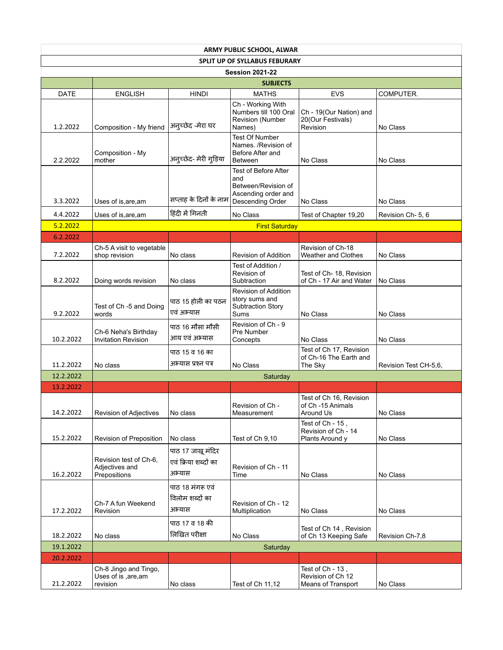| <b>ARMY PUBLIC SCHOOL, ALWAR</b> |                                                           |                                                     |                                                                                               |                                                              |                       |  |  |  |
|----------------------------------|-----------------------------------------------------------|-----------------------------------------------------|-----------------------------------------------------------------------------------------------|--------------------------------------------------------------|-----------------------|--|--|--|
|                                  | <b>SPLIT UP OF SYLLABUS FEBURARY</b>                      |                                                     |                                                                                               |                                                              |                       |  |  |  |
| <b>Session 2021-22</b>           |                                                           |                                                     |                                                                                               |                                                              |                       |  |  |  |
|                                  |                                                           |                                                     | <b>SUBJECTS</b>                                                                               |                                                              |                       |  |  |  |
| DATE                             | <b>ENGLISH</b>                                            | <b>HINDI</b>                                        | <b>MATHS</b>                                                                                  | <b>EVS</b>                                                   | COMPUTER.             |  |  |  |
| 1.2.2022                         | Composition - My friend                                   | अनुच्छेद -मेरा घर                                   | Ch - Working With<br>Numbers till 100 Oral<br>Revision (Number<br>Names)                      | Ch - 19(Our Nation) and<br>20(Our Festivals)<br>Revision     | No Class              |  |  |  |
| 2.2.2022                         | Composition - My<br>mother                                | अनुच्छेद- मेरी गुड़िया                              | <b>Test Of Number</b><br>Names. /Revision of<br>Before After and<br><b>Between</b>            | No Class                                                     | No Class              |  |  |  |
| 3.3.2022                         | Uses of is, are, am                                       | सप्ताह के दिनों के नाम<br>हिंदी में गिनती           | Test of Before After<br>and<br>Between/Revision of<br>Ascending order and<br>Descending Order | No Class                                                     | No Class              |  |  |  |
| 4.4.2022                         | Uses of is, are, am                                       |                                                     | No Class                                                                                      | Test of Chapter 19,20                                        | Revision Ch- 5, 6     |  |  |  |
| 5.2.2022                         |                                                           |                                                     | <b>First Saturday</b>                                                                         |                                                              |                       |  |  |  |
| 6.2.2022                         |                                                           |                                                     |                                                                                               |                                                              |                       |  |  |  |
| 7.2.2022                         | Ch-5 A visit to vegetable<br>shop revision                | No class                                            | Revision of Addition<br>Test of Addition /                                                    | Revision of Ch-18<br>Weather and Clothes                     | No Class              |  |  |  |
| 8.2.2022                         | Doing words revision                                      | No class                                            | Revision of<br>Subtraction                                                                    | Test of Ch- 18, Revision<br>of Ch - 17 Air and Water         | No Class              |  |  |  |
| 9.2.2022                         | Test of Ch -5 and Doing<br>words                          | पाठ 15 होली का पठन<br>एवं अभ्यास                    | Revision of Addition<br>story sums and<br>Subtraction Story<br>Sums                           | No Class                                                     | No Class              |  |  |  |
| 10.2.2022                        | Ch-6 Neha's Birthday<br><b>Invitation Revision</b>        | पाठ 16 मौसा मौसी<br>आय एवं अभ्यास                   | Revision of Ch - 9<br>Pre Number<br>Concepts                                                  | No Class                                                     | No Class              |  |  |  |
| 11.2.2022                        | No class                                                  | पाठ 15 व 16 का<br>अभ्यास प्रश्न पत्र                | No Class                                                                                      | Test of Ch 17, Revision<br>of Ch-16 The Earth and<br>The Sky | Revision Test CH-5,6, |  |  |  |
| 12.2.2022                        |                                                           |                                                     | Saturday                                                                                      |                                                              |                       |  |  |  |
| 13.2.2022                        |                                                           |                                                     |                                                                                               |                                                              |                       |  |  |  |
| 14.2.2022                        | Revision of Adjectives                                    | No class                                            | Revision of Ch -<br>Measurement                                                               | Test of Ch 16, Revision<br>of Ch -15 Animals<br>Around Us    | No Class              |  |  |  |
| 15.2.2022                        | Revision of Preposition                                   | No class                                            | Test of Ch 9,10                                                                               | Test of Ch - 15,<br>Revision of Ch - 14<br>Plants Around y   | No Class              |  |  |  |
| 16.2.2022                        | Revision test of Ch-6,<br>Adjectives and<br>Prepositions  | पाठ 17 जाखू मंदिर<br>एवं क्रिया शब्दों का<br>अभ्यास | Revision of Ch - 11<br>Time                                                                   | No Class                                                     | No Class              |  |  |  |
| 17.2.2022                        | Ch-7 A fun Weekend<br>Revision                            | पाठ 18 मंगरू एवं<br>विलोम शब्दों का<br>अभ्यास       | Revision of Ch - 12<br>Multiplication                                                         | No Class                                                     | No Class              |  |  |  |
| 18.2.2022                        | No class                                                  | पाठ 17 व 18 की<br>लिखित परीक्षा                     | No Class                                                                                      | Test of Ch 14, Revision<br>of Ch 13 Keeping Safe             | Revision Ch-7,8       |  |  |  |
| 19.1.2022                        |                                                           |                                                     | Saturday                                                                                      |                                                              |                       |  |  |  |
| 20.2.2022                        |                                                           |                                                     |                                                                                               |                                                              |                       |  |  |  |
| 21.2.2022                        | Ch-8 Jingo and Tingo,<br>Uses of is , are, am<br>revision | No class                                            | Test of Ch 11,12                                                                              | Test of Ch - 13,<br>Revision of Ch 12<br>Means of Transport  | No Class              |  |  |  |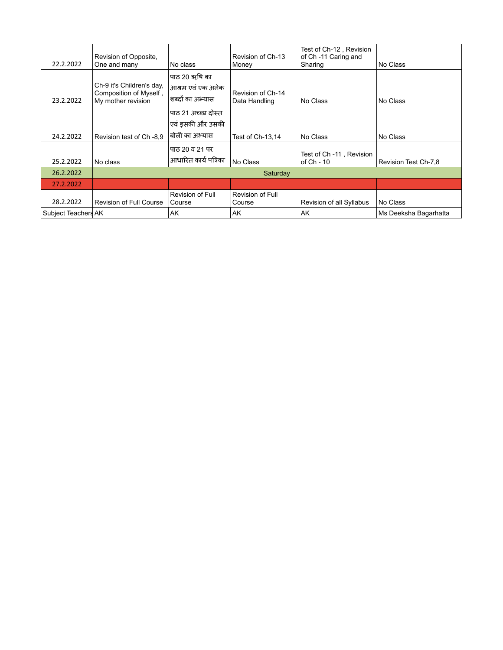| 22.2.2022           | Revision of Opposite,<br>One and many                                     | No class                                                 | Revision of Ch-13<br>Money         | Test of Ch-12, Revision<br>of Ch -11 Caring and<br>Sharing | No Class              |
|---------------------|---------------------------------------------------------------------------|----------------------------------------------------------|------------------------------------|------------------------------------------------------------|-----------------------|
| 23.2.2022           | Ch-9 it's Children's day,<br>Composition of Myself,<br>My mother revision | पाठ 20 ऋषि का<br>आश्रम एवं एक अनेक<br>शब्दों का अभ्यास   | Revision of Ch-14<br>Data Handling | No Class                                                   | No Class              |
| 24.2.2022           | Revision test of Ch -8.9                                                  | पाठ २१ अच्छा दोस्त<br>एवं इसकी और उसकी<br>बोली का अभ्यास | Test of Ch-13,14                   | No Class                                                   | No Class              |
| 25.2.2022           | No class                                                                  | पाठ 20 व 21 पर<br>आधारित कार्य पत्रिका                   | No Class                           | Test of Ch -11, Revision<br>of Ch - 10                     | Revision Test Ch-7,8  |
| 26.2.2022           |                                                                           |                                                          | Saturday                           |                                                            |                       |
| 27.2.2022           |                                                                           |                                                          |                                    |                                                            |                       |
| 28.2.2022           | <b>Revision of Full Course</b>                                            | Revision of Full<br>Course                               | Revision of Full<br>Course         | Revision of all Syllabus                                   | No Class              |
| Subject Teachers AK |                                                                           | AK                                                       | AK                                 | AK                                                         | Ms Deeksha Bagarhatta |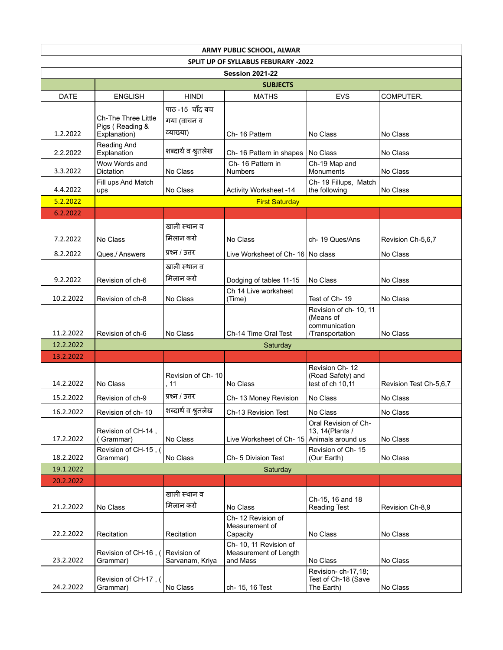| <b>ARMY PUBLIC SCHOOL, ALWAR</b> |                                                               |                                            |                                                            |                                                                         |                        |  |  |  |  |
|----------------------------------|---------------------------------------------------------------|--------------------------------------------|------------------------------------------------------------|-------------------------------------------------------------------------|------------------------|--|--|--|--|
|                                  | SPLIT UP OF SYLLABUS FEBURARY -2022                           |                                            |                                                            |                                                                         |                        |  |  |  |  |
| <b>Session 2021-22</b>           |                                                               |                                            |                                                            |                                                                         |                        |  |  |  |  |
|                                  |                                                               |                                            | <b>SUBJECTS</b>                                            |                                                                         |                        |  |  |  |  |
| <b>DATE</b>                      | <b>ENGLISH</b>                                                | <b>HINDI</b>                               | <b>MATHS</b>                                               | <b>EVS</b>                                                              | COMPUTER.              |  |  |  |  |
| 1.2.2022                         | <b>Ch-The Three Little</b><br>Pigs (Reading &<br>Explanation) | पाठ-15 चाँद बच<br>गया (वाचन व<br>व्याख्या) | Ch-16 Pattern                                              | No Class                                                                | No Class               |  |  |  |  |
| 2.2.2022                         | Reading And<br>Explanation                                    | शब्दार्थ व श्रुतलेख                        | Ch-16 Pattern in shapes                                    | No Class                                                                | No Class               |  |  |  |  |
| 3.3.2022                         | Wow Words and<br>Dictation                                    | No Class                                   | Ch-16 Pattern in<br><b>Numbers</b>                         | Ch-19 Map and<br><b>Monuments</b>                                       | No Class               |  |  |  |  |
| 4.4.2022                         | Fill ups And Match<br>ups                                     | No Class                                   | <b>Activity Worksheet -14</b>                              | Ch-19 Fillups, Match<br>the following                                   | No Class               |  |  |  |  |
| 5.2.2022                         |                                                               |                                            | <b>First Saturday</b>                                      |                                                                         |                        |  |  |  |  |
| 6.2.2022                         |                                                               |                                            |                                                            |                                                                         |                        |  |  |  |  |
|                                  |                                                               | खाली स्थान व                               |                                                            |                                                                         |                        |  |  |  |  |
| 7.2.2022                         | No Class                                                      | मिलान करो                                  | No Class                                                   | ch-19 Ques/Ans                                                          | Revision Ch-5,6,7      |  |  |  |  |
| 8.2.2022                         | Ques./ Answers                                                | प्रश्न / उत्तर                             | Live Worksheet of Ch- 16   No class                        |                                                                         | No Class               |  |  |  |  |
|                                  |                                                               | खाली स्थान व                               |                                                            |                                                                         |                        |  |  |  |  |
| 9.2.2022                         | Revision of ch-6                                              | मिलान करो                                  | Dodging of tables 11-15                                    | No Class                                                                | No Class               |  |  |  |  |
| 10.2.2022                        | Revision of ch-8                                              | No Class                                   | Ch 14 Live worksheet<br>(Time)                             | Test of Ch-19                                                           | No Class               |  |  |  |  |
| 11.2.2022                        | Revision of ch-6                                              | No Class                                   | Ch-14 Time Oral Test                                       | Revision of ch- 10, 11<br>(Means of<br>communication<br>/Transportation | No Class               |  |  |  |  |
| 12.2.2022                        |                                                               |                                            | Saturday                                                   |                                                                         |                        |  |  |  |  |
| 13.2.2022                        |                                                               |                                            |                                                            |                                                                         |                        |  |  |  |  |
| 14.2.2022                        | No Class                                                      | Revision of Ch-10<br>. 11                  | No Class                                                   | Revision Ch-12<br>(Road Safety) and<br>test of ch 10,11                 | Revision Test Ch-5,6,7 |  |  |  |  |
| 15.2.2022                        | Revision of ch-9                                              | प्रश्न / उत्तर                             | Ch-13 Money Revision                                       | No Class                                                                | No Class               |  |  |  |  |
| 16.2.2022                        | Revision of ch-10                                             | शब्दार्थ व श्रुतलेख                        | Ch-13 Revision Test                                        | No Class                                                                | No Class               |  |  |  |  |
| 17.2.2022                        | Revision of CH-14,<br>(Grammar)                               | No Class                                   | Live Worksheet of Ch-15                                    | Oral Revision of Ch-<br>13, 14(Plants /<br>Animals around us            | No Class               |  |  |  |  |
| 18.2.2022                        | Revision of CH-15, (<br>Grammar)                              | No Class                                   | Ch- 5 Division Test                                        | Revision of Ch-15<br>(Our Earth)                                        | No Class               |  |  |  |  |
| 19.1.2022                        |                                                               |                                            | Saturday                                                   |                                                                         |                        |  |  |  |  |
| 20.2.2022                        |                                                               |                                            |                                                            |                                                                         |                        |  |  |  |  |
| 21.2.2022                        | No Class                                                      | खाली स्थान व<br>मिलान करो                  | No Class                                                   | Ch-15, 16 and 18<br><b>Reading Test</b>                                 | Revision Ch-8,9        |  |  |  |  |
| 22.2.2022                        | Recitation                                                    | Recitation                                 | Ch-12 Revision of<br>Measurement of<br>Capacity            | No Class                                                                | No Class               |  |  |  |  |
| 23.2.2022                        | Revision of CH-16, (<br>Grammar)                              | Revision of<br>Sarvanam, Kriya             | Ch-10, 11 Revision of<br>Measurement of Length<br>and Mass | No Class                                                                | No Class               |  |  |  |  |
| 24.2.2022                        | Revision of CH-17, (<br>Grammar)                              | No Class                                   | ch- 15, 16 Test                                            | Revision-ch-17,18;<br>Test of Ch-18 (Save<br>The Earth)                 | No Class               |  |  |  |  |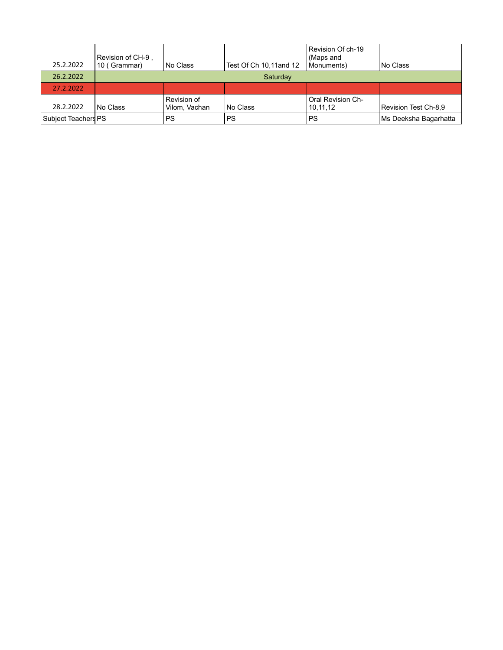| 25.2.2022           | Revision of CH-9 .<br>10 (Grammar) | No Class                     | Test Of Ch 10,11 and 12 | Revision Of ch-19<br>(Maps and<br>Monuments) | l No Class            |  |  |
|---------------------|------------------------------------|------------------------------|-------------------------|----------------------------------------------|-----------------------|--|--|
| 26.2.2022           |                                    | Saturday                     |                         |                                              |                       |  |  |
| 27.2.2022           |                                    |                              |                         |                                              |                       |  |  |
| 28.2.2022           | l No Class                         | Revision of<br>Vilom, Vachan | No Class                | <b>Oral Revision Ch-</b><br>10.11.12         | Revision Test Ch-8,9  |  |  |
| Subject Teachers PS |                                    | PS                           | <b>PS</b>               | PS                                           | Ms Deeksha Bagarhatta |  |  |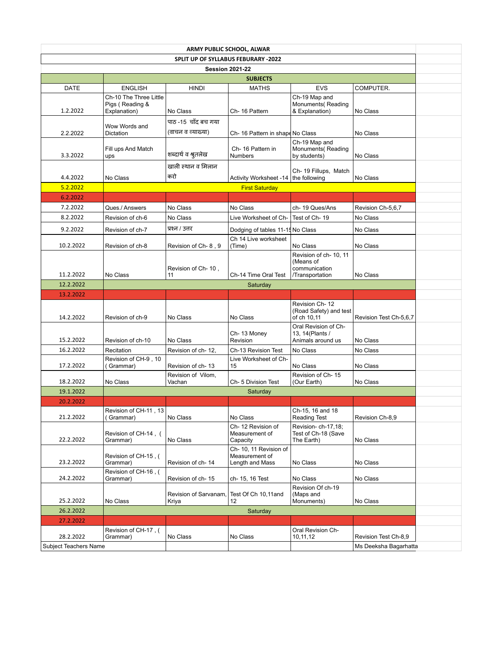|             |                                           |                          | ARMY PUBLIC SCHOOL, ALWAR           |                                         |                        |
|-------------|-------------------------------------------|--------------------------|-------------------------------------|-----------------------------------------|------------------------|
|             |                                           |                          | SPLIT UP OF SYLLABUS FEBURARY -2022 |                                         |                        |
|             |                                           |                          | <b>Session 2021-22</b>              |                                         |                        |
|             |                                           |                          | <b>SUBJECTS</b>                     |                                         |                        |
| <b>DATE</b> | <b>ENGLISH</b>                            | <b>HINDI</b>             | <b>MATHS</b>                        | <b>EVS</b>                              | COMPUTER.              |
|             | Ch-10 The Three Little<br>Pigs (Reading & |                          |                                     | Ch-19 Map and<br>Monuments (Reading     |                        |
| 1.2.2022    | Explanation)                              | No Class                 | Ch-16 Pattern                       | & Explanation)                          | No Class               |
|             |                                           | पाठ -15 चाँद बच गया      |                                     |                                         |                        |
| 2.2.2022    | Wow Words and<br>Dictation                | (वाचन व व्याख्या)        | Ch- 16 Pattern in shape No Class    |                                         | No Class               |
|             |                                           |                          |                                     | Ch-19 Map and                           |                        |
|             | Fill ups And Match                        |                          | Ch-16 Pattern in                    | Monuments (Reading                      |                        |
| 3.3.2022    | ups                                       | शब्दार्थ व श्रुतलेख      | <b>Numbers</b>                      | by students)                            | No Class               |
|             |                                           | खाली स्थान व मिलान       |                                     | Ch-19 Fillups, Match                    |                        |
| 4.4.2022    | No Class                                  | करो                      | <b>Activity Worksheet -14</b>       | the following                           | No Class               |
| 5.2.2022    |                                           |                          | <b>First Saturday</b>               |                                         |                        |
| 6.2.2022    |                                           |                          |                                     |                                         |                        |
| 7.2.2022    | Ques./ Answers                            | No Class                 | No Class                            | ch-19 Ques/Ans                          | Revision Ch-5,6,7      |
| 8.2.2022    | Revision of ch-6                          | No Class                 | Live Worksheet of Ch-               | Test of Ch-19                           | No Class               |
| 9.2.2022    | Revision of ch-7                          | प्रश्न / उत्तर           | Dodging of tables 11-15 No Class    |                                         | No Class               |
|             |                                           |                          | Ch 14 Live worksheet                |                                         |                        |
| 10.2.2022   | Revision of ch-8                          | Revision of Ch-8, 9      | (Time)                              | No Class                                | No Class               |
|             |                                           |                          |                                     | Revision of ch- 10, 11                  |                        |
|             |                                           |                          |                                     | (Means of                               |                        |
| 11.2.2022   | No Class                                  | Revision of Ch-10,<br>11 | Ch-14 Time Oral Test                | communication<br>/Transportation        | No Class               |
| 12.2.2022   |                                           |                          | Saturday                            |                                         |                        |
| 13.2.2022   |                                           |                          |                                     |                                         |                        |
|             |                                           |                          |                                     | Revision Ch-12                          |                        |
|             |                                           |                          |                                     | (Road Safety) and test                  |                        |
| 14.2.2022   | Revision of ch-9                          | No Class                 | No Class                            | of ch 10,11                             | Revision Test Ch-5,6,7 |
|             |                                           |                          | Ch-13 Money                         | Oral Revision of Ch-<br>13, 14(Plants / |                        |
| 15.2.2022   | Revision of ch-10                         | No Class                 | Revision                            | Animals around us                       | No Class               |
| 16.2.2022   | Recitation                                | Revision of ch-12,       | Ch-13 Revision Test                 | No Class                                | No Class               |
|             | Revision of CH-9, 10                      |                          | Live Worksheet of Ch-               |                                         |                        |
| 17.2.2022   | (Grammar)                                 | Revision of ch-13        | 15                                  | No Class                                | No Class               |
| 18.2.2022   |                                           | Revision of Vilom,       |                                     | Revision of Ch-15                       |                        |
|             | No Class                                  | Vachan                   | Ch- 5 Division Test                 | (Our Earth)                             | No Class               |
| 19.1.2022   |                                           |                          | Saturday                            |                                         |                        |
| 20.2.2022   |                                           |                          |                                     |                                         |                        |
| 21.2.2022   | Revision of CH-11, 13<br>(Grammar)        | No Class                 | No Class                            | Ch-15, 16 and 18<br><b>Reading Test</b> | Revision Ch-8.9        |
|             |                                           |                          | Ch-12 Revision of                   | Revision-ch-17,18;                      |                        |
|             | Revision of CH-14, (                      |                          | Measurement of                      | Test of Ch-18 (Save                     |                        |
| 22.2.2022   | Grammar)                                  | No Class                 | Capacity                            | The Earth)                              | No Class               |
|             |                                           |                          |                                     |                                         |                        |
|             |                                           |                          | Ch- 10, 11 Revision of              |                                         |                        |
| 23.2.2022   | Revision of CH-15, (<br>Grammar)          | Revision of ch-14        | Measurement of<br>Length and Mass   | No Class                                | No Class               |
|             | Revision of CH-16, (                      |                          |                                     |                                         |                        |
| 24.2.2022   | Grammar)                                  | Revision of ch-15        | ch- 15, 16 Test                     | No Class                                | No Class               |
|             |                                           |                          |                                     | Revision Of ch-19                       |                        |
|             |                                           | Revision of Sarvanam,    | Test Of Ch 10,11 and                | (Maps and                               |                        |
| 25.2.2022   | No Class                                  | Kriya                    | 12                                  | Monuments)                              | No Class               |
| 26.2.2022   |                                           |                          | Saturday                            |                                         |                        |
| 27.2.2022   |                                           |                          |                                     |                                         |                        |
| 28.2.2022   | Revision of CH-17, (<br>Grammar)          | No Class                 | No Class                            | Oral Revision Ch-<br>10,11,12           | Revision Test Ch-8,9   |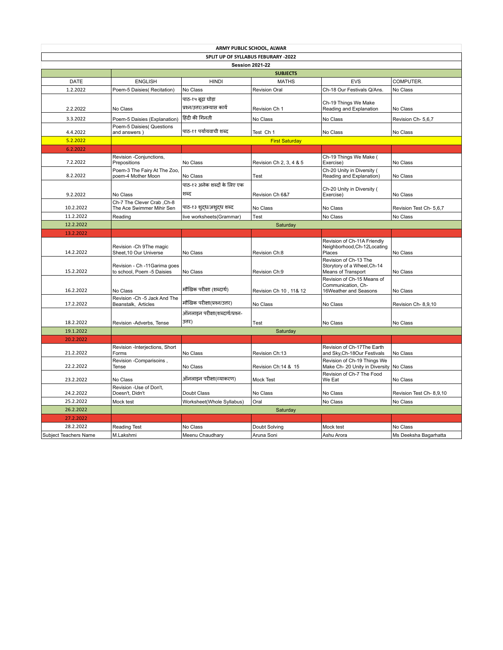|                                     |                                                             |                                                 | ARMY PUBLIC SCHOOL, ALWAR |                                                                            |                         |  |  |  |
|-------------------------------------|-------------------------------------------------------------|-------------------------------------------------|---------------------------|----------------------------------------------------------------------------|-------------------------|--|--|--|
| SPLIT UP OF SYLLABUS FEBURARY -2022 |                                                             |                                                 |                           |                                                                            |                         |  |  |  |
|                                     |                                                             |                                                 | <b>Session 2021-22</b>    |                                                                            |                         |  |  |  |
|                                     |                                                             |                                                 | <b>SUBJECTS</b>           |                                                                            |                         |  |  |  |
| <b>DATE</b>                         | <b>ENGLISH</b>                                              | <b>HINDI</b>                                    | <b>MATHS</b>              | <b>EVS</b>                                                                 | COMPUTER.               |  |  |  |
| 1.2.2022                            | Poem-5 Daisies(Recitation)                                  | No Class                                        | <b>Revision Oral</b>      | Ch-18 Our Festivals Q/Ans.                                                 | No Class                |  |  |  |
| 2.2.2022                            | No Class                                                    | पाठ-१५ बूढ़ा घोड़ा<br>प्रश्न/उत्तर/अभ्यास कार्य | Revision Ch 1             | Ch-19 Things We Make<br>Reading and Explanation                            | No Class                |  |  |  |
| 3.3.2022                            | Poem-5 Daisies (Explanation)                                | हिंदी की गिनती                                  | No Class                  | No Class                                                                   | Revision Ch- 5,6,7      |  |  |  |
| 4.4.2022                            | Poem-5 Daisies( Questions<br>and answers)                   | पाठ-११ पर्यायवाची शब्द                          | Test Ch 1                 | No Class                                                                   | No Class                |  |  |  |
| 5.2.2022                            |                                                             |                                                 | <b>First Saturday</b>     |                                                                            |                         |  |  |  |
| 6.2.2022                            |                                                             |                                                 |                           |                                                                            |                         |  |  |  |
| 7.2.2022                            | Revision -Conjunctions,<br>Prepositions                     | No Class                                        | Revision Ch 2, 3, 4 & 5   | Ch-19 Things We Make (<br>Exercise)                                        | No Class                |  |  |  |
| 8.2.2022                            | Poem-3 The Fairy At The Zoo,<br>poem-4 Mother Moon          | No Class                                        | Test                      | Ch-20 Unity in Diversity (<br>Reading and Explanation)                     | No Class                |  |  |  |
|                                     |                                                             | पाठ-१२ अनेक शब्दों के लिए एक                    |                           |                                                                            |                         |  |  |  |
| 9.2.2022                            | No Class                                                    | शब्द                                            | Revision Ch 6&7           | Ch-20 Unity in Diversity (<br>Exercise)                                    | No Class                |  |  |  |
|                                     | Ch-7 The Clever Crab, Ch-8                                  |                                                 |                           |                                                                            |                         |  |  |  |
| 10.2.2022                           | The Ace Swimmer Mihir Sen                                   | पाठ-१३ श् <b>दध/अश्</b> दध शब्द                 | No Class                  | No Class                                                                   | Revision Test Ch- 5,6,7 |  |  |  |
| 11.2.2022                           | Reading                                                     | live worksheets(Grammar)                        | Test                      | No Class                                                                   | No Class                |  |  |  |
| 12.2.2022                           |                                                             |                                                 | Saturday                  |                                                                            |                         |  |  |  |
| 13.2.2022                           |                                                             |                                                 |                           |                                                                            |                         |  |  |  |
| 14.2.2022                           | Revision - Ch 9The magic<br>Sheet.10 Our Universe           | No Class                                        | Revision Ch:8             | Revision of Ch-11A Friendly<br>Neighborhood, Ch-12Locating<br>Places       | No Class                |  |  |  |
| 15.2.2022                           | Revision - Ch -11 Garima goes<br>to school, Poem -5 Daisies | No Class                                        | Revision Ch:9             | Revision of Ch-13 The<br>Storytory of a Wheel, Ch-14<br>Means of Transport | No Class                |  |  |  |
| 16.2.2022                           | No Class                                                    | मौखिक परीक्षा (शब्दार्थ)                        | Revision Ch 10, 11& 12    | Revision of Ch-15 Means of<br>Communication, Ch-<br>16Weather and Seasons  | No Class                |  |  |  |
| 17.2.2022                           | Revision - Ch - 5 Jack And The<br>Beanstalk, Articles       | मौखिक परीक्षा(प्रश्न/उत्तर)                     | No Class                  | No Class                                                                   | Revision Ch-8,9,10      |  |  |  |
|                                     |                                                             | ऑनलाइन परीक्षा(शब्दार्थ/प्रश्न-                 |                           |                                                                            |                         |  |  |  |
| 18.2.2022                           | Revision -Adverbs, Tense                                    | उत्तर)                                          | Test                      | No Class                                                                   | No Class                |  |  |  |
| 19.1.2022                           |                                                             |                                                 | Saturday                  |                                                                            |                         |  |  |  |
| 20.2.2022                           |                                                             |                                                 |                           |                                                                            |                         |  |  |  |
| 21.2.2022                           | Revision -Interjections, Short<br>Forms                     | No Class                                        | Revision Ch:13            | Revision of Ch-17The Earth<br>and Sky, Ch-18Our Festivals                  | No Class                |  |  |  |
| 22.2.2022                           | Revision -Comparisoins,<br>Tense                            | No Class                                        | Revision Ch:14 & 15       | Revision of Ch-19 Things We<br>Make Ch- 20 Unity in Diversity              | No Class                |  |  |  |
| 23.2.2022                           | No Class                                                    | ऑनलाइन परीक्षा(व्याकरण)                         | <b>Mock Test</b>          | Revision of Ch-7 The Food<br>We Eat                                        | No Class                |  |  |  |
| 24.2.2022                           | Revision -Use of Don't,<br>Doesn't, Didn't                  | Doubt Class                                     | No Class                  | No Class                                                                   | Revision Test Ch-8,9,10 |  |  |  |
| 25.2.2022                           | Mock test                                                   | Worksheet(Whole Syllabus)                       | Oral                      | No Class                                                                   | No Class                |  |  |  |
| 26.2.2022                           |                                                             |                                                 | Saturday                  |                                                                            |                         |  |  |  |
| 27.2.2022                           |                                                             |                                                 |                           |                                                                            |                         |  |  |  |
| 28.2.2022                           | <b>Reading Test</b>                                         | No Class                                        | Doubt Solving             | Mock test                                                                  | No Class                |  |  |  |
| Subject Teachers Name               | M.Lakshmi                                                   | Meenu Chaudhary                                 | Aruna Soni                | Ashu Arora                                                                 | Ms Deeksha Bagarhatta   |  |  |  |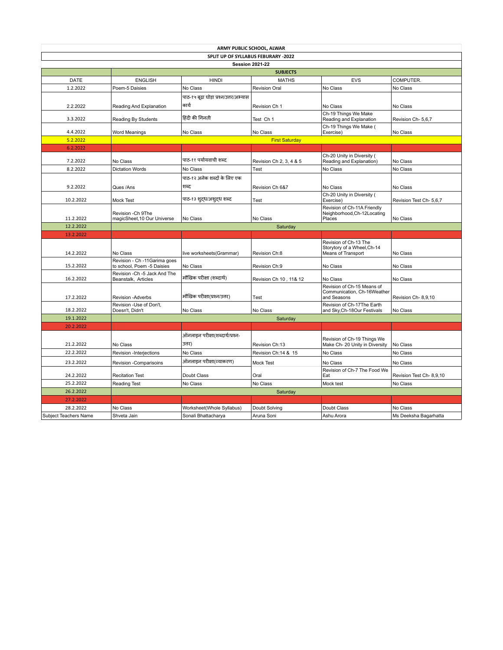|                       |                                                     | ARMY PUBLIC SCHOOL, ALWAR              |                         |                                                                            |                          |
|-----------------------|-----------------------------------------------------|----------------------------------------|-------------------------|----------------------------------------------------------------------------|--------------------------|
|                       |                                                     | SPLIT UP OF SYLLABUS FEBURARY -2022    |                         |                                                                            |                          |
|                       |                                                     |                                        | <b>Session 2021-22</b>  |                                                                            |                          |
|                       |                                                     |                                        | <b>SUBJECTS</b>         |                                                                            |                          |
| <b>DATE</b>           | <b>ENGLISH</b>                                      | <b>HINDI</b>                           | <b>MATHS</b>            | <b>EVS</b>                                                                 | COMPUTER.                |
| 1.2.2022              | Poem-5 Daisies                                      | No Class                               | <b>Revision Oral</b>    | No Class                                                                   | No Class                 |
|                       |                                                     | पाठ-१५ बूढ़ा घोड़ा प्रश्न/उत्तर/अभ्यास |                         |                                                                            |                          |
| 2.2.2022              | Reading And Explanation                             | कार्य                                  | Revision Ch 1           | No Class                                                                   | No Class                 |
| 3.3.2022              | Reading By Students                                 | हिंदी की गिनती                         | Test Ch 1               | Ch-19 Things We Make<br>Reading and Explanation                            | Revision Ch-5,6,7        |
| 4.4.2022              | Word Meanings                                       | No Class                               | No Class                | Ch-19 Things We Make (<br>Exercise)                                        | No Class                 |
| 5.2.2022              |                                                     |                                        | <b>First Saturday</b>   |                                                                            |                          |
| 6.2.2022              |                                                     |                                        |                         |                                                                            |                          |
| 7.2.2022              | No Class                                            | पाठ-११ पर्यायवाची शब्द                 | Revision Ch 2, 3, 4 & 5 | Ch-20 Unity in Diversity (<br>Reading and Explanation)                     | No Class                 |
| 8.2.2022              | <b>Dictation Words</b>                              | No Class                               | Test                    | No Class                                                                   | No Class                 |
|                       |                                                     | पाठ-१२ अनेक शब्दों के लिए एक           |                         |                                                                            |                          |
| 9.2.2022              | Ques /Ans                                           | शब्द                                   | Revision Ch 6&7         | No Class                                                                   | No Class                 |
| 10.2.2022             | Mock Test                                           | पाठ-१३ श् <b>दध/अश्</b> दध शब्द        | Test                    | Ch-20 Unity in Diversity (<br>Exercise)                                    | Revision Test Ch- 5,6,7  |
| 11.2.2022             | Revision - Ch 9The<br>magicSheet, 10 Our Universe   | No Class                               | No Class                | Revision of Ch-11A Friendly<br>Neighborhood, Ch-12Locating<br>Places       | No Class                 |
| 12.2.2022             |                                                     |                                        | Saturday                |                                                                            |                          |
| 13.2.2022             |                                                     |                                        |                         |                                                                            |                          |
| 14.2.2022             | No Class                                            | live worksheets(Grammar)               | Revision Ch:8           | Revision of Ch-13 The<br>Storytory of a Wheel, Ch-14<br>Means of Transport | No Class                 |
|                       | Revision - Ch -11 Garima goes                       |                                        |                         |                                                                            |                          |
| 15.2.2022             | to school, Poem -5 Daisies                          | No Class                               | Revision Ch:9           | No Class                                                                   | No Class                 |
| 16.2.2022             | Revision -Ch -5 Jack And The<br>Beanstalk, Articles | मौखिक परीक्षा (शब्दार्थ)               | Revision Ch 10, 11& 12  | No Class                                                                   | No Class                 |
| 17.2.2022             | Revision -Adverbs                                   | मौखिक परीक्षा(प्रश्न/उत्तर)            | Test                    | Revision of Ch-15 Means of<br>Communication, Ch-16Weather<br>and Seasons   | Revision Ch-8,9,10       |
|                       | Revision -Use of Don't,                             |                                        |                         | Revision of Ch-17The Earth                                                 |                          |
| 18.2.2022             | Doesn't, Didn't                                     | No Class                               | No Class                | and Sky, Ch-18Our Festivals                                                | No Class                 |
| 19.1.2022             |                                                     |                                        | Saturday                |                                                                            |                          |
| 20.2.2022             |                                                     |                                        |                         |                                                                            |                          |
|                       |                                                     | ऑनलाइन परीक्षा(शब्दार्थ/प्रश्न-        |                         |                                                                            |                          |
| 21.2.2022             | No Class                                            | उत्तर)                                 | Revision Ch:13          | Revision of Ch-19 Things We<br>Make Ch- 20 Unity in Diversity              | No Class                 |
| 22.2.2022             | Revision -Interjections                             | No Class                               | Revision Ch:14 & 15     | No Class                                                                   | No Class                 |
| 23.2.2022             | Revision -Comparisoins                              | ऑनलाइन परीक्षा(व्याकरण)                | Mock Test               | No Class                                                                   | No Class                 |
| 24.2.2022             | <b>Recitation Test</b>                              | Doubt Class                            | Oral                    | Revision of Ch-7 The Food We<br>Eat                                        | Revision Test Ch- 8,9,10 |
| 25.2.2022             | <b>Reading Test</b>                                 | No Class                               | No Class                | Mock test                                                                  | No Class                 |
| 26.2.2022             |                                                     |                                        | Saturday                |                                                                            |                          |
| 27.2.2022             |                                                     |                                        |                         |                                                                            |                          |
| 28.2.2022             | No Class                                            | Worksheet(Whole Syllabus)              | Doubt Solving           | Doubt Class                                                                | No Class                 |
| Subiect Teachers Name | Shveta Jain                                         | Sonali Bhattacharva                    | Aruna Soni              | Ashu Arora                                                                 | Ms Deeksha Bagarhatta    |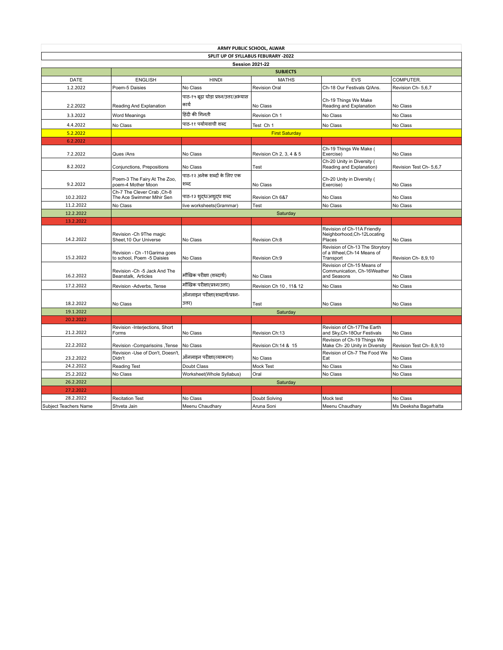|                                     | ARMY PUBLIC SCHOOL, ALWAR                                   |                                        |                         |                                                                            |                         |  |  |  |  |
|-------------------------------------|-------------------------------------------------------------|----------------------------------------|-------------------------|----------------------------------------------------------------------------|-------------------------|--|--|--|--|
| SPLIT UP OF SYLLABUS FEBURARY -2022 |                                                             |                                        |                         |                                                                            |                         |  |  |  |  |
|                                     | <b>Session 2021-22</b><br><b>SUBJECTS</b>                   |                                        |                         |                                                                            |                         |  |  |  |  |
| DATE                                | <b>ENGLISH</b>                                              | <b>HINDI</b>                           | <b>MATHS</b>            | <b>EVS</b>                                                                 | COMPUTER.               |  |  |  |  |
| 1.2.2022                            |                                                             | No Class                               | <b>Revision Oral</b>    | Ch-18 Our Festivals Q/Ans.                                                 | Revision Ch- 5,6,7      |  |  |  |  |
|                                     | Poem-5 Daisies                                              |                                        |                         |                                                                            |                         |  |  |  |  |
|                                     |                                                             | पाठ-१५ बूढ़ा घोड़ा प्रश्न/उत्तर/अभ्यास |                         | Ch-19 Things We Make                                                       |                         |  |  |  |  |
| 2.2.2022                            | Reading And Explanation                                     | कार्य                                  | No Class                | Reading and Explanation                                                    | No Class                |  |  |  |  |
| 3.3.2022                            | Word Meanings                                               | हिंदी की गिनती                         | Revision Ch 1           | No Class                                                                   | No Class                |  |  |  |  |
| 4.4.2022                            | No Class                                                    | पाठ-११ पर्यायवाची शब्द                 | Test Ch 1               | No Class                                                                   | No Class                |  |  |  |  |
| 5.2.2022                            |                                                             |                                        | <b>First Saturday</b>   |                                                                            |                         |  |  |  |  |
| 6.2.2022                            |                                                             |                                        |                         |                                                                            |                         |  |  |  |  |
| 7.2.2022                            | Ques /Ans                                                   | No Class                               | Revision Ch 2, 3, 4 & 5 | Ch-19 Things We Make (<br>Exercise)                                        | No Class                |  |  |  |  |
| 8.2.2022                            | Conjunctions, Prepositions                                  | No Class                               | Test                    | Ch-20 Unity in Diversity (<br>Reading and Explanation)                     | Revision Test Ch- 5.6.7 |  |  |  |  |
|                                     |                                                             | पाठ-१२ अनेक शब्दों के लिए एक           |                         |                                                                            |                         |  |  |  |  |
| 9.2.2022                            | Poem-3 The Fairy At The Zoo,<br>poem-4 Mother Moon          | शब्द                                   | No Class                | Ch-20 Unity in Diversity (<br>Exercise)                                    | No Class                |  |  |  |  |
|                                     | Ch-7 The Clever Crab, Ch-8                                  |                                        |                         |                                                                            |                         |  |  |  |  |
| 10.2.2022                           | The Ace Swimmer Mihir Sen                                   | पाठ-१३ श् <i>दध/अश्</i> दध शब्द        | Revision Ch 6&7         | No Class                                                                   | No Class                |  |  |  |  |
| 11.2.2022                           | No Class                                                    | live worksheets(Grammar)               | Test                    | No Class                                                                   | No Class                |  |  |  |  |
| 12.2.2022                           | Saturday                                                    |                                        |                         |                                                                            |                         |  |  |  |  |
| 13.2.2022                           |                                                             |                                        |                         |                                                                            |                         |  |  |  |  |
| 14.2.2022                           | Revision - Ch 9The magic<br>Sheet, 10 Our Universe          | No Class                               | Revision Ch:8           | Revision of Ch-11A Friendly<br>Neighborhood, Ch-12Locating<br>Places       | No Class                |  |  |  |  |
| 15.2.2022                           | Revision - Ch -11 Garima goes<br>to school, Poem -5 Daisies | No Class                               | Revision Ch:9           | Revision of Ch-13 The Storytory<br>of a Wheel, Ch-14 Means of<br>Transport | Revision Ch-8,9,10      |  |  |  |  |
| 16.2.2022                           | Revision -Ch -5 Jack And The<br>Beanstalk, Articles         | मौखिक परीक्षा (शब्दार्थ)               | No Class                | Revision of Ch-15 Means of<br>Communication, Ch-16Weather<br>and Seasons   | No Class                |  |  |  |  |
| 17.2.2022                           | Revision -Adverbs, Tense                                    | मौखिक परीक्षा(प्रश्न/उत्तर)            | Revision Ch 10, 11& 12  | No Class                                                                   | No Class                |  |  |  |  |
|                                     |                                                             | ऑनलाइन परीक्षा(शब्दार्थ/प्रश्न-        |                         |                                                                            |                         |  |  |  |  |
| 18.2.2022                           | No Class                                                    | उत्तर)                                 |                         |                                                                            | No Class                |  |  |  |  |
|                                     |                                                             |                                        | Test                    | No Class                                                                   |                         |  |  |  |  |
| 19.1.2022                           |                                                             |                                        | Saturday                |                                                                            |                         |  |  |  |  |
| 20.2.2022                           |                                                             |                                        |                         | Revision of Ch-17The Earth                                                 |                         |  |  |  |  |
| 21.2.2022                           | Revision -Interjections, Short<br>Forms                     | No Class                               | Revision Ch:13          | and Sky, Ch-18Our Festivals                                                | No Class                |  |  |  |  |
| 22.2.2022                           | Revision -Comparisoins, Tense                               | No Class                               | Revision Ch:14 & 15     | Revision of Ch-19 Things We<br>Make Ch- 20 Unity in Diversity              | Revision Test Ch-8,9,10 |  |  |  |  |
| 23.2.2022                           | Revision -Use of Don't, Doesn't,<br>Didn't                  | ऑनलाइन परीक्षा(व्याकरण)                | No Class                | Revision of Ch-7 The Food We<br>Eat                                        | No Class                |  |  |  |  |
| 24.2.2022                           | Reading Test                                                | Doubt Class                            | Mock Test               | No Class                                                                   | No Class                |  |  |  |  |
| 25.2.2022                           | No Class                                                    | Worksheet(Whole Syllabus)              | Oral                    | No Class                                                                   | No Class                |  |  |  |  |
| 26.2.2022                           |                                                             |                                        | Saturday                |                                                                            |                         |  |  |  |  |
| 27.2.2022                           |                                                             |                                        |                         |                                                                            |                         |  |  |  |  |
| 28.2.2022                           | <b>Recitation Test</b>                                      | No Class                               | Doubt Solving           | Mock test                                                                  | No Class                |  |  |  |  |
| Subject Teachers Name               | Shveta Jain                                                 | Meenu Chaudhary                        | Aruna Soni              | Meenu Chaudhary                                                            | Ms Deeksha Bagarhatta   |  |  |  |  |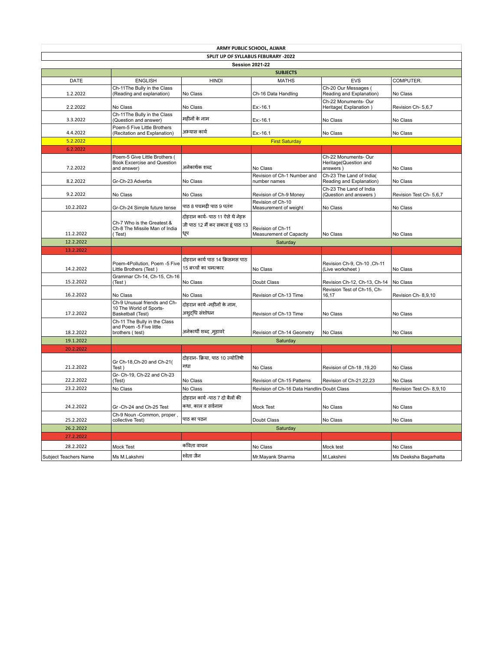|                        |                                                                              | ARMY PUBLIC SCHOOL, ALWAR                                                    |                                              |                                                           |                         |
|------------------------|------------------------------------------------------------------------------|------------------------------------------------------------------------------|----------------------------------------------|-----------------------------------------------------------|-------------------------|
|                        |                                                                              | SPLIT UP OF SYLLABUS FEBURARY -2022                                          |                                              |                                                           |                         |
|                        |                                                                              |                                                                              | <b>Session 2021-22</b>                       |                                                           |                         |
| <b>DATE</b>            | <b>ENGLISH</b>                                                               | <b>HINDI</b>                                                                 | <b>SUBJECTS</b><br><b>MATHS</b>              | <b>EVS</b>                                                | COMPUTER.               |
| 1.2.2022               | Ch-11The Bully in the Class<br>(Reading and explanation)                     | No Class                                                                     | Ch-16 Data Handling                          | Ch-20 Our Messages (<br>Reading and Explanation)          | No Class                |
| 2.2.2022               | No Class                                                                     | No Class                                                                     | $Ex: -16.1$                                  | Ch-22 Monuments- Our<br>Heritage(Explanation)             | Revision Ch- 5,6,7      |
| 3.3.2022               | Ch-11The Bully in the Class<br>(Question and answer)                         | महीनों के नाम                                                                | $Ex: -16.1$                                  | No Class                                                  | No Class                |
| 4.4.2022               | Poem-5 Five Little Brothers<br>(Recitation and Explanation)                  | अभ्यास कार्य                                                                 | Ex:-16.1                                     | No Class                                                  | No Class                |
| 5.2.2022               |                                                                              |                                                                              | <b>First Saturday</b>                        |                                                           |                         |
| 6.2.2022               |                                                                              |                                                                              |                                              |                                                           |                         |
| 7.2.2022               | Poem-5 Give Little Brothers (<br>Book Excercise and Question<br>and answer)  | अनेकार्थक शब्द                                                               | No Class                                     | Ch-22 Monuments- Our<br>Heritage(Question and<br>answers) | No Class                |
| 8.2.2022               | Gr-Ch-23 Adverbs                                                             | No Class                                                                     | Revision of Ch-1 Number and<br>number names  | Ch-23 The Land of India(<br>Reading and Explanation)      | No Class                |
| 9.2.2022               | No Class                                                                     | No Class                                                                     | Revision of Ch-9 Money                       | Ch-23 The Land of India<br>(Question and answers)         | Revision Test Ch- 5,6,7 |
| 10.2.2022              | Gr-Ch-24 Simple future tense                                                 | पाठ 8 पचमढी पाठ 9 पतंग                                                       | Revision of Ch-10<br>Measurement of weight   | No Class                                                  | No Class                |
| 11.2.2022              | Ch-7 Who is the Greatest &<br>Ch-8 The Missile Man of India<br>(Test)        | दोहरान कार्य- पाठ 11 ऐसे थे नेहरू<br>जी पाठ 12 मैं कर सकता हूं पाठ 13<br>धूप | Revision of Ch-11<br>Measurement of Capacity | No Class                                                  | No Class                |
| 12.2.2022              |                                                                              |                                                                              | Saturday                                     |                                                           |                         |
| 13.2.2022              |                                                                              |                                                                              |                                              |                                                           |                         |
|                        |                                                                              |                                                                              |                                              |                                                           |                         |
| 14.2.2022              | Poem-4Pollution, Poem -5 Five<br>Little Brothers (Test)                      | दोहरान कार्य पाठ 14 क्रिसमस पाठ<br>15 बच्चों का चमत्कार                      | No Class                                     | Revision Ch-9, Ch-10, Ch-11<br>(Live worksheet)           | No Class                |
| 15.2.2022              | Grammar Ch-14, Ch-15, Ch-16<br>(Test)                                        | No Class                                                                     | Doubt Class                                  | Revision Ch-12, Ch-13, Ch-14                              | No Class                |
| 16.2.2022              | No Class                                                                     | No Class                                                                     | Revision of Ch-13 Time                       | Revision Test of Ch-15, Ch-<br>16,17                      | Revision Ch-8,9,10      |
| 17.2.2022              | Ch-9 Unusual friends and Ch-<br>10 The World of Sports-<br>Basketball (Test) | दोहरान कार्य -महीनों के नाम,<br>अशुद्धि संशोधन                               | Revision of Ch-13 Time                       | No Class                                                  | No Class                |
| 18.2.2022              | Ch-11 The Bully in the Class<br>and Poem -5 Five little                      | अनेकार्थी शब्द ,म्हावरे                                                      | Revision of Ch-14 Geometry                   | No Class                                                  | No Class                |
| 19.1.2022              | brothers (test)                                                              |                                                                              | Saturday                                     |                                                           |                         |
|                        |                                                                              |                                                                              |                                              |                                                           |                         |
| 20.2.2022<br>21.2.2022 | Gr Ch-18, Ch-20 and Ch-21(<br>Test)                                          | दोहरान- क्रिया, पाठ 10 ज्योतिषी<br>गधा                                       | No Class                                     | Revision of Ch-18, 19,20                                  | No Class                |
| 22.2.2022              | Gr- Ch-19, Ch-22 and Ch-23<br>(Test)                                         | No Class                                                                     | Revision of Ch-15 Patterns                   | Revision of Ch-21,22,23                                   | No Class                |
| 23.2.2022              | No Class                                                                     | No Class                                                                     | Revision of Ch-16 Data Handlin Doubt Class   |                                                           | Revision Test Ch-8,9,10 |
| 24.2.2022              | Gr -Ch-24 and Ch-25 Test                                                     | दोहरान कार्य -पाठ 7 दो बैलों की<br>कथा, काल व सर्वनाम                        | <b>Mock Test</b>                             | No Class                                                  | No Class                |
| 25.2.2022              | Ch-9 Noun -Common, proper.<br>collective Test)                               | पाठ का पठन                                                                   | Doubt Class                                  | No Class                                                  | No Class                |
| 26.2.2022              |                                                                              |                                                                              | Saturday                                     |                                                           |                         |
| 27.2.2022              |                                                                              |                                                                              |                                              |                                                           |                         |
| 28.2.2022              | Mock Test                                                                    | कविता वाचन                                                                   | No Class                                     | Mock test                                                 | No Class                |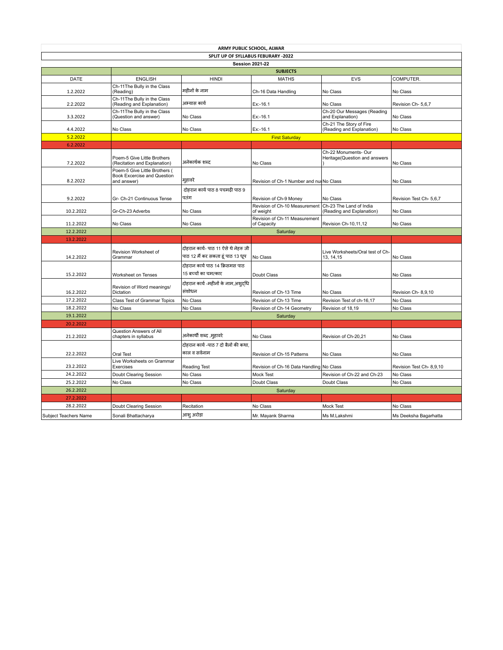|                                     |                                                                                    | ARMY PUBLIC SCHOOL, ALWAR                                                 |                                              |                                                       |                          |  |  |  |  |
|-------------------------------------|------------------------------------------------------------------------------------|---------------------------------------------------------------------------|----------------------------------------------|-------------------------------------------------------|--------------------------|--|--|--|--|
| SPLIT UP OF SYLLABUS FEBURARY -2022 |                                                                                    |                                                                           |                                              |                                                       |                          |  |  |  |  |
|                                     |                                                                                    |                                                                           | <b>Session 2021-22</b>                       |                                                       |                          |  |  |  |  |
|                                     |                                                                                    |                                                                           | <b>SUBJECTS</b>                              |                                                       |                          |  |  |  |  |
| DATE                                | <b>ENGLISH</b>                                                                     | <b>HINDI</b>                                                              | <b>MATHS</b>                                 | <b>EVS</b>                                            | COMPUTER.                |  |  |  |  |
| 1.2.2022                            | Ch-11The Bully in the Class<br>(Reading)                                           | महीनों के नाम                                                             | Ch-16 Data Handling                          | No Class                                              | No Class                 |  |  |  |  |
| 2.2.2022                            | Ch-11The Bully in the Class<br>(Reading and Explanation)                           | अभ्यास कार्य                                                              | Ex:-16.1                                     | No Class                                              | Revision Ch- 5,6,7       |  |  |  |  |
| 3.3.2022                            | Ch-11The Bully in the Class<br>(Question and answer)                               | No Class                                                                  | Ex:-16.1                                     | Ch-20 Our Messages (Reading<br>and Explanation)       | No Class                 |  |  |  |  |
| 4.4.2022                            | No Class                                                                           | No Class                                                                  | Ex:-16.1                                     | Ch-21 The Story of Fire<br>(Reading and Explanation)  | No Class                 |  |  |  |  |
| 5.2.2022                            |                                                                                    |                                                                           | <b>First Saturday</b>                        |                                                       |                          |  |  |  |  |
| 6.2.2022                            |                                                                                    |                                                                           |                                              |                                                       |                          |  |  |  |  |
| 7.2.2022                            | Poem-5 Give Little Brothers<br>(Recitation and Explanation)                        | अनेकार्थक शब्द                                                            | No Class                                     | Ch-22 Monuments- Our<br>Heritage(Question and answers | No Class                 |  |  |  |  |
| 8.2.2022                            | Poem-5 Give Little Brothers (<br><b>Book Excercise and Question</b><br>and answer) | मुहावरे                                                                   | Revision of Ch-1 Number and nul No Class     |                                                       | No Class                 |  |  |  |  |
| 9.2.2022                            | Gr- Ch-21 Continuous Tense                                                         | दोहरान कार्य पाठ 8 पचमढी पाठ 9<br>पतंग                                    | Revision of Ch-9 Money                       | No Class                                              | Revision Test Ch- 5,6,7  |  |  |  |  |
| 10.2.2022                           | Gr-Ch-23 Adverbs                                                                   | No Class                                                                  | Revision of Ch-10 Measurement<br>of weight   | Ch-23 The Land of India<br>(Reading and Explanation)  | No Class                 |  |  |  |  |
| 11.2.2022                           | No Class                                                                           | No Class                                                                  | Revision of Ch-11 Measurement<br>of Capacity | Revision Ch-10,11,12                                  | No Class                 |  |  |  |  |
| 12.2.2022                           |                                                                                    |                                                                           | Saturday                                     |                                                       |                          |  |  |  |  |
| 13.2.2022                           |                                                                                    |                                                                           |                                              |                                                       |                          |  |  |  |  |
| 14.2.2022                           | Revision Worksheet of<br>Grammar                                                   | दोहरान कार्य- पाठ 11 ऐसे थे नेहरू जी<br>पाठ 12 मैं कर सकता हूं पाठ 13 धूप | No Class                                     | Live Worksheets/Oral test of Ch-<br>13, 14, 15        | No Class                 |  |  |  |  |
|                                     |                                                                                    | दोहरान कार्य पाठ 14 क्रिसमस पाठ                                           |                                              |                                                       |                          |  |  |  |  |
| 15.2.2022                           | Worksheet on Tenses                                                                | 15 बच्चों का चमत्कार                                                      | Doubt Class                                  | No Class                                              | No Class                 |  |  |  |  |
| 16.2.2022                           | Revision of Word meanings/<br>Dictation                                            | दोहरान कार्य -महीनों के नाम,अश्दधि<br>संशोधन                              | Revision of Ch-13 Time                       | No Class                                              | Revision Ch-8,9,10       |  |  |  |  |
| 17.2.2022                           | Class Test of Grammar Topics                                                       | No Class                                                                  | Revision of Ch-13 Time                       | Revision Test of ch-16,17                             | No Class                 |  |  |  |  |
| 18.2.2022                           | No Class                                                                           | No Class                                                                  | Revision of Ch-14 Geometry                   | Revision of 18,19                                     | No Class                 |  |  |  |  |
| 19.1.2022                           |                                                                                    |                                                                           | Saturday                                     |                                                       |                          |  |  |  |  |
| 20.2.2022                           |                                                                                    |                                                                           |                                              |                                                       |                          |  |  |  |  |
| 21.2.2022                           | Question Answers of All<br>chapters in syllabus                                    | अनेकार्थी शब्द ,मुहावरे                                                   | No Class                                     | Revision of Ch-20.21                                  | No Class                 |  |  |  |  |
| 22.2.2022                           | Oral Test                                                                          | दोहरान कार्य -पाठ 7 दो बैलों की कथा.<br>काल व सर्वनाम                     | Revision of Ch-15 Patterns                   | No Class                                              | No Class                 |  |  |  |  |
| 23.2.2022                           | Live Worksheets on Grammar<br>Exercises                                            | <b>Reading Test</b>                                                       | Revision of Ch-16 Data Handling No Class     |                                                       | Revision Test Ch- 8,9,10 |  |  |  |  |
| 24.2.2022                           | Doubt Clearing Session                                                             | No Class                                                                  | Mock Test                                    | Revision of Ch-22 and Ch-23                           | No Class                 |  |  |  |  |
| 25.2.2022                           | No Class                                                                           | No Class                                                                  | Doubt Class                                  | Doubt Class                                           | No Class                 |  |  |  |  |
| 26.2.2022                           |                                                                                    |                                                                           | Saturday                                     |                                                       |                          |  |  |  |  |
| 27.2.2022                           |                                                                                    |                                                                           |                                              |                                                       |                          |  |  |  |  |
|                                     |                                                                                    |                                                                           |                                              |                                                       |                          |  |  |  |  |
| 28.2.2022                           | Doubt Clearing Session                                                             | Recitation                                                                | No Class                                     | <b>Mock Test</b>                                      | No Class                 |  |  |  |  |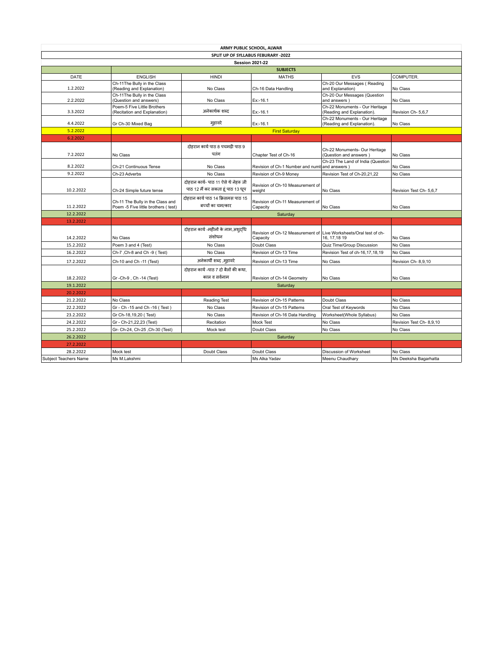|                                     | ARMY PUBLIC SCHOOL, ALWAR                                               |                                                                           |                                               |                                                              |                         |  |  |
|-------------------------------------|-------------------------------------------------------------------------|---------------------------------------------------------------------------|-----------------------------------------------|--------------------------------------------------------------|-------------------------|--|--|
| SPLIT UP OF SYLLABUS FEBURARY -2022 |                                                                         |                                                                           |                                               |                                                              |                         |  |  |
| <b>Session 2021-22</b>              |                                                                         |                                                                           |                                               |                                                              |                         |  |  |
|                                     | <b>SUBJECTS</b>                                                         |                                                                           |                                               |                                                              |                         |  |  |
| DATE                                | <b>ENGLISH</b>                                                          | <b>HINDI</b>                                                              | <b>MATHS</b>                                  | <b>EVS</b>                                                   | COMPUTER.               |  |  |
| 1.2.2022                            | Ch-11The Bully in the Class<br>(Reading and Explanation)                | No Class                                                                  | Ch-16 Data Handling                           | Ch-20 Our Messages (Reading<br>and Explanation)              | No Class                |  |  |
| 2.2.2022                            | Ch-11The Bully in the Class<br>(Question and answers)                   | No Class                                                                  | Ex:-16.1                                      | Ch-20 Our Messages (Question<br>and answers)                 | No Class                |  |  |
| 3.3.2022                            | Poem-5 Five Little Brothers<br>(Recitation and Explanation)             | अनेकार्थक शब्द                                                            | $Ex: -16.1$                                   | Ch-22 Monuments - Our Heritage<br>(Reading and Explanation). | Revision Ch- 5,6,7      |  |  |
| 4.4.2022                            | Gr Ch-30 Mixed Bag                                                      | मुहावरे                                                                   | Ex:-16.1                                      | Ch-22 Monuments - Our Heritage<br>(Reading and Explanation). | No Class                |  |  |
| 5.2.2022                            | <b>First Saturday</b>                                                   |                                                                           |                                               |                                                              |                         |  |  |
| 6.2.2022                            |                                                                         |                                                                           |                                               |                                                              |                         |  |  |
| 7.2.2022                            | No Class                                                                | दोहरान कार्य पाठ 8 पचमढी पाठ 9<br>पतंग                                    | Chapter Test of Ch-16                         | Ch-22 Monuments- Our Heritage<br>(Question and answers)      | No Class                |  |  |
| 8.2.2022                            | Ch-21 Continuous Tense                                                  | No Class                                                                  | Revision of Ch-1 Number and numb and answers) | Ch-23 The Land of India (Question                            | No Class                |  |  |
| 9.2.2022                            | Ch-23 Adverbs                                                           | No Class                                                                  | Revision of Ch-9 Money                        | Revision Test of Ch-20,21,22                                 | No Class                |  |  |
| 10.2.2022                           | Ch-24 Simple future tense                                               | दोहरान कार्य- पाठ 11 ऐसे थे नेहरू जी<br>पाठ 12 मैं कर सकता हूं पाठ 13 धूप | Revision of Ch-10 Measurement of<br>weight    | No Class                                                     | Revision Test Ch- 5,6,7 |  |  |
| 11.2.2022                           | Ch-11 The Bully in the Class and<br>Poem -5 Five little brothers (test) | दोहरान कार्य पाठ 14 क्रिसमस पाठ 15<br>बच्चों का चमत्कार                   | Revision of Ch-11 Measurement of<br>Capacity  | No Class                                                     | No Class                |  |  |
| 12.2.2022                           |                                                                         |                                                                           | Saturday                                      |                                                              |                         |  |  |
| 13.2.2022                           |                                                                         |                                                                           |                                               |                                                              |                         |  |  |
| 14.2.2022                           | No Class                                                                | दोहरान कार्य -महीनों के नाम,अश्दधि<br>संशोधन                              | Revision of Ch-12 Measurement of<br>Capacity  | Live Worksheets/Oral test of ch-<br>16, 17, 18 19            | No Class                |  |  |
| 15.2.2022                           | Poem 3 and 4 (Test)                                                     | No Class                                                                  | Doubt Class                                   | Quiz Time/Group Discussion                                   | No Class                |  |  |
| 16.2.2022                           | Ch-7, Ch-8 and Ch -9 (Test)                                             | No Class                                                                  | Revision of Ch-13 Time                        | Revision Test of ch-16,17,18,19                              | No Class                |  |  |
| 17.2.2022                           | Ch-10 and Ch -11 (Test)                                                 | अनेकार्थी शब्द ,मुहावरे                                                   | Revision of Ch-13 Time                        | No Class                                                     | Revision Ch-8,9,10      |  |  |
| 18.2.2022                           | Gr-Ch-9, Ch-14 (Test)                                                   | दोहरान कार्य -पाठ 7 दो बैलों की कथा,<br>काल व सर्वनाम                     | Revision of Ch-14 Geometry                    | No Class                                                     | No Class                |  |  |
| 19.1.2022                           |                                                                         |                                                                           | Saturday                                      |                                                              |                         |  |  |
| 20.2.2022                           |                                                                         |                                                                           |                                               |                                                              |                         |  |  |
| 21.2.2022                           | No Class                                                                | <b>Reading Test</b>                                                       | Revision of Ch-15 Patterns                    | Doubt Class                                                  | No Class                |  |  |
| 22.2.2022                           | Gr - Ch -15 and Ch -16 (Test)                                           | No Class                                                                  | Revision of Ch-15 Patterns                    | Oral Test of Keywords                                        | No Class                |  |  |
| 23.2.2022                           | Gr Ch-18,19,20 (Test)                                                   | No Class                                                                  | Revision of Ch-16 Data Handling               | Worksheet(Whole Syllabus)                                    | No Class                |  |  |
| 24.2.2022                           | Gr - Ch-21,22,23 (Test)                                                 | Recitation                                                                | Mock Test                                     | No Class                                                     | Revision Test Ch-8,9,10 |  |  |
| 25.2.2022                           | Gr- Ch-24, Ch-25, Ch-30 (Test)                                          | Mock test                                                                 | Doubt Class                                   | No Class                                                     | No Class                |  |  |
| 26.2.2022                           |                                                                         |                                                                           | Saturday                                      |                                                              |                         |  |  |
| 27.2.2022                           |                                                                         |                                                                           |                                               |                                                              |                         |  |  |
| 28.2.2022                           | Mock test                                                               | Doubt Class                                                               | Doubt Class                                   | Discussion of Worksheet                                      | No Class                |  |  |
| Subject Teachers Name               | Ms M.Lakshmi                                                            |                                                                           | Ms Alka Yadav                                 | Meenu Chaudhary                                              | Ms Deeksha Bagarhatta   |  |  |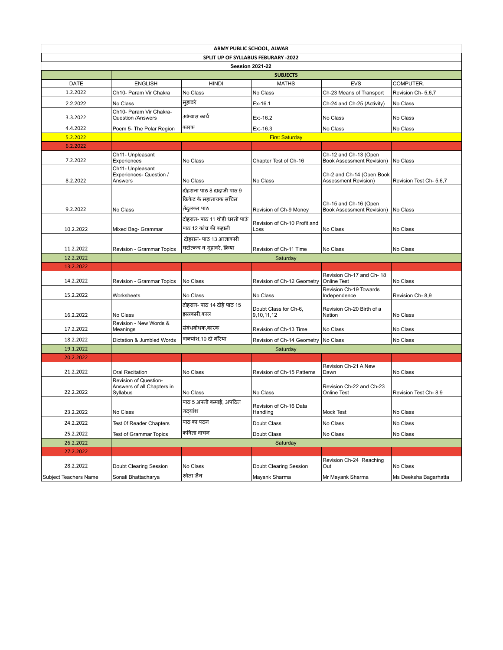|                                     | ARMY PUBLIC SCHOOL, ALWAR                                       |                                                                       |                                       |                                                           |                         |  |  |
|-------------------------------------|-----------------------------------------------------------------|-----------------------------------------------------------------------|---------------------------------------|-----------------------------------------------------------|-------------------------|--|--|
| SPLIT UP OF SYLLABUS FEBURARY -2022 |                                                                 |                                                                       |                                       |                                                           |                         |  |  |
|                                     | <b>Session 2021-22</b><br><b>SUBJECTS</b>                       |                                                                       |                                       |                                                           |                         |  |  |
| <b>DATE</b>                         | <b>ENGLISH</b>                                                  | <b>HINDI</b>                                                          | <b>MATHS</b>                          | <b>EVS</b>                                                | COMPUTER.               |  |  |
| 1.2.2022                            | Ch10- Param Vir Chakra                                          | No Class                                                              | No Class                              | Ch-23 Means of Transport                                  | Revision Ch- 5,6,7      |  |  |
| 2.2.2022                            | No Class                                                        | मुहावरे                                                               | Ex-16.1                               | Ch-24 and Ch-25 (Activity)                                | No Class                |  |  |
|                                     | Ch10- Param Vir Chakra-                                         |                                                                       |                                       |                                                           |                         |  |  |
| 3.3.2022                            | Question /Answers                                               | अभ्यास कार्य                                                          | Ex:-16.2                              | No Class                                                  | No Class                |  |  |
| 4.4.2022                            | Poem 5- The Polar Region                                        | कारक                                                                  | $Ex: -16.3$                           | No Class                                                  | No Class                |  |  |
| 5.2.2022                            | <b>First Saturday</b>                                           |                                                                       |                                       |                                                           |                         |  |  |
| 6.2.2022                            |                                                                 |                                                                       |                                       |                                                           |                         |  |  |
| 7.2.2022                            | Ch11- Unpleasant<br>Experiences                                 | No Class                                                              | Chapter Test of Ch-16                 | Ch-12 and Ch-13 (Open<br><b>Book Assessment Revision)</b> | No Class                |  |  |
| 8.2.2022                            | Ch11- Unpleasant<br>Experiences- Question /<br>Answers          | No Class                                                              | No Class                              | Ch-2 and Ch-14 (Open Book<br>Assessment Revision)         | Revision Test Ch- 5,6,7 |  |  |
| 9.2.2022                            | No Class                                                        | दोहराना पाठ 8 दादाजी पाठ 9<br>क्रिकेट के महानायक सचिन<br>तेंदुलकर पाठ | Revision of Ch-9 Money                | Ch-15 and Ch-16 (Open<br><b>Book Assessment Revision)</b> | No Class                |  |  |
|                                     |                                                                 |                                                                       |                                       |                                                           |                         |  |  |
|                                     |                                                                 | दोहरान- पाठ 11 थोड़ी धरती पाऊं                                        | Revision of Ch-10 Profit and          |                                                           |                         |  |  |
| 10.2.2022                           | Mixed Bag- Grammar                                              | पाठ 12 कांच की कहानी                                                  | Loss                                  | No Class                                                  | No Class                |  |  |
|                                     |                                                                 | दोहरान- पाठ 13 आज्ञाकारी                                              |                                       |                                                           |                         |  |  |
| 11.2.2022                           | Revision - Grammar Topics                                       | घटोत्कच व मुहावरे, क्रिया                                             | Revision of Ch-11 Time                | No Class                                                  | No Class                |  |  |
| 12.2.2022                           |                                                                 |                                                                       | Saturday                              |                                                           |                         |  |  |
| 13.2.2022                           |                                                                 |                                                                       |                                       |                                                           |                         |  |  |
| 14.2.2022                           | Revision - Grammar Topics                                       | No Class                                                              | Revision of Ch-12 Geometry            | Revision Ch-17 and Ch-18<br><b>Online Test</b>            | No Class                |  |  |
| 15.2.2022                           | Worksheets                                                      | No Class                                                              | No Class                              | Revision Ch-19 Towards<br>Independence                    | Revision Ch-8,9         |  |  |
| 16.2.2022                           | No Class                                                        | दोहरान- पाठ 14 दोहे पाठ 15<br>झलकारी,काल                              | Doubt Class for Ch-6,<br>9,10,11,12   | Revision Ch-20 Birth of a<br>Nation                       | No Class                |  |  |
| 17.2.2022                           | Revision - New Words &<br>Meanings                              | संबंधबोधक,कारक                                                        | Revision of Ch-13 Time                | No Class                                                  | No Class                |  |  |
| 18.2.2022                           | Dictation & Jumbled Words                                       | वाक्यांश,10 दो गौरैया                                                 | Revision of Ch-14 Geometry   No Class |                                                           | No Class                |  |  |
| 19.1.2022                           |                                                                 |                                                                       | Saturday                              |                                                           |                         |  |  |
| 20.2.2022                           |                                                                 |                                                                       |                                       |                                                           |                         |  |  |
|                                     |                                                                 |                                                                       |                                       | Revision Ch-21 A New                                      |                         |  |  |
| 21.2.2022                           | Oral Recitation                                                 | No Class                                                              | Revision of Ch-15 Patterns            | Dawn                                                      | No Class                |  |  |
| 22.2.2022                           | Revision of Question-<br>Answers of all Chapters in<br>Syllabus | No Class                                                              | No Class                              | Revision Ch-22 and Ch-23<br><b>Online Test</b>            | Revision Test Ch-8,9    |  |  |
|                                     |                                                                 | पाठ 5 अपनी कमाई, अपठित                                                |                                       |                                                           |                         |  |  |
|                                     |                                                                 |                                                                       | Revision of Ch-16 Data                |                                                           |                         |  |  |
| 23.2.2022                           | No Class                                                        | गद्याश                                                                | Handling                              | Mock Test                                                 | No Class                |  |  |
| 24.2.2022                           | Test Of Reader Chapters                                         | पाठ का पठन                                                            | Doubt Class                           | No Class                                                  | No Class                |  |  |
| 25.2.2022                           | <b>Test of Grammar Topics</b>                                   | कविता वाचन                                                            | Doubt Class                           | No Class                                                  | No Class                |  |  |
| 26.2.2022                           |                                                                 |                                                                       | Saturday                              |                                                           |                         |  |  |
| 27.2.2022                           |                                                                 |                                                                       |                                       |                                                           |                         |  |  |
| 28.2.2022                           | Doubt Clearing Session                                          | No Class                                                              | Doubt Clearing Session                | Revision Ch-24 Reaching<br>Out                            | No Class                |  |  |
| Subject Teachers Name               | Sonali Bhattacharya                                             | श्वेता जैन                                                            | Mayank Sharma                         | Mr Mayank Sharma                                          | Ms Deeksha Bagarhatta   |  |  |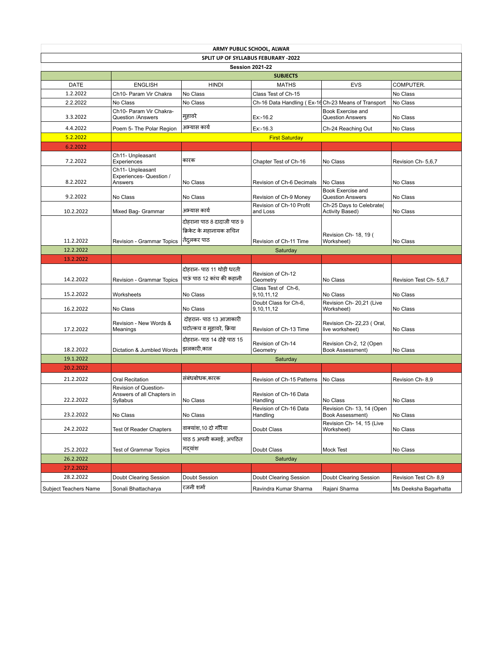|                                     | ARMY PUBLIC SCHOOL, ALWAR                                       |                                                       |                                                     |                                                    |                         |  |  |
|-------------------------------------|-----------------------------------------------------------------|-------------------------------------------------------|-----------------------------------------------------|----------------------------------------------------|-------------------------|--|--|
| SPLIT UP OF SYLLABUS FEBURARY -2022 |                                                                 |                                                       |                                                     |                                                    |                         |  |  |
| <b>Session 2021-22</b>              |                                                                 |                                                       |                                                     |                                                    |                         |  |  |
|                                     |                                                                 |                                                       | <b>SUBJECTS</b>                                     |                                                    |                         |  |  |
| <b>DATE</b>                         | <b>ENGLISH</b>                                                  | <b>HINDI</b>                                          | <b>MATHS</b>                                        | <b>EVS</b>                                         | COMPUTER.               |  |  |
| 1.2.2022                            | Ch10- Param Vir Chakra                                          | No Class                                              | Class Test of Ch-15                                 |                                                    | No Class                |  |  |
| 2.2.2022                            | No Class                                                        | No Class                                              | Ch-16 Data Handling (Ex-16 Ch-23 Means of Transport |                                                    | No Class                |  |  |
| 3.3.2022                            | Ch10- Param Vir Chakra-<br>Question /Answers                    | मुहावरे                                               | $Ex: -16.2$                                         | Book Exercise and<br><b>Question Answers</b>       | No Class                |  |  |
| 4.4.2022                            | Poem 5- The Polar Region                                        | अभ्यास कार्य                                          | Ex:-16.3                                            | Ch-24 Reaching Out                                 | No Class                |  |  |
| 5.2.2022                            |                                                                 |                                                       | <b>First Saturday</b>                               |                                                    |                         |  |  |
| 6.2.2022                            |                                                                 |                                                       |                                                     |                                                    |                         |  |  |
| 7.2.2022                            | Ch11- Unpleasant<br>Experiences                                 | कारक                                                  | Chapter Test of Ch-16                               | No Class                                           | Revision Ch- 5,6,7      |  |  |
| 8.2.2022                            | Ch11- Unpleasant<br>Experiences- Question /<br>Answers          | No Class                                              | Revision of Ch-6 Decimals                           | No Class                                           | No Class                |  |  |
| 9.2.2022                            | No Class                                                        | No Class                                              | Revision of Ch-9 Money                              | Book Exercise and<br><b>Question Answers</b>       | No Class                |  |  |
| 10.2.2022                           | Mixed Bag- Grammar                                              | अभ्यास कार्य                                          | Revision of Ch-10 Profit<br>and Loss                | Ch-25 Days to Celebrate(<br><b>Activity Based)</b> | No Class                |  |  |
|                                     |                                                                 | दोहराना पाठ 8 दादाजी पाठ 9<br>क्रिकेट के महानायक सचिन |                                                     | Revision Ch- 18, 19 (                              |                         |  |  |
| 11.2.2022                           | Revision - Grammar Topics                                       | तेंदुलकर पाठ                                          | Revision of Ch-11 Time                              | Worksheet)                                         | No Class                |  |  |
| 12.2.2022                           |                                                                 |                                                       | Saturday                                            |                                                    |                         |  |  |
| 13.2.2022                           |                                                                 |                                                       |                                                     |                                                    |                         |  |  |
|                                     |                                                                 | दोहरान- पाठ 11 थोड़ी धरती                             |                                                     |                                                    |                         |  |  |
| 14.2.2022                           | Revision - Grammar Topics                                       | पाऊं पाठ 12 कांच की कहानी                             | Revision of Ch-12<br>Geometry                       | No Class                                           | Revision Test Ch- 5,6,7 |  |  |
| 15.2.2022                           | Worksheets                                                      | No Class                                              | Class Test of Ch-6,<br>9,10,11,12                   | No Class                                           | No Class                |  |  |
|                                     |                                                                 |                                                       | Doubt Class for Ch-6,                               | Revision Ch- 20,21 (Live                           |                         |  |  |
| 16.2.2022                           | No Class                                                        | No Class                                              | 9,10,11,12                                          | Worksheet)                                         | No Class                |  |  |
| 17.2.2022                           | Revision - New Words &<br>Meanings                              | दोहरान- पाठ 13 आज्ञाकारी<br>घटोत्कच व मुहावरे, क्रिया | Revision of Ch-13 Time                              | Revision Ch- 22,23 (Oral,<br>live worksheet)       | No Class                |  |  |
| 18.2.2022                           | Dictation & Jumbled Words                                       | दोहरान- पाठ 14 दोहे पाठ 15<br>झलकारी.काल              | Revision of Ch-14<br>Geometry                       | Revision Ch-2, 12 (Open<br>Book Assessment)        | No Class                |  |  |
| 19.1.2022                           |                                                                 |                                                       | Saturday                                            |                                                    |                         |  |  |
| 20.2.2022                           |                                                                 |                                                       |                                                     |                                                    |                         |  |  |
| 21.2.2022                           | Oral Recitation                                                 | संबंधबोधक.कारक                                        | Revision of Ch-15 Patterns                          | No Class                                           | Revision Ch-8,9         |  |  |
| 22.2.2022                           | Revision of Question-<br>Answers of all Chapters in<br>Syllabus | No Class                                              | Revision of Ch-16 Data<br>Handling                  | No Class                                           | No Class                |  |  |
| 23.2.2022                           | No Class                                                        | No Class                                              | Revision of Ch-16 Data<br>Handling                  | Revision Ch- 13, 14 (Open<br>Book Assessment)      | No Class                |  |  |
| 24.2.2022                           | <b>Test Of Reader Chapters</b>                                  | वाक्यांश, 10 दो गौरैया                                | Doubt Class                                         | Revision Ch- 14, 15 (Live<br>Worksheet)            | No Class                |  |  |
|                                     |                                                                 | पाठ 5 अपनी कमाई. अपठित                                |                                                     |                                                    |                         |  |  |
| 25.2.2022                           | <b>Test of Grammar Topics</b>                                   | गदयांश                                                | Doubt Class                                         | Mock Test                                          | No Class                |  |  |
| 26.2.2022                           |                                                                 |                                                       | Saturday                                            |                                                    |                         |  |  |
| 27.2.2022                           |                                                                 |                                                       |                                                     |                                                    |                         |  |  |
| 28.2.2022                           | Doubt Clearing Session                                          | Doubt Session                                         | Doubt Clearing Session                              | Doubt Clearing Session                             | Revision Test Ch-8,9    |  |  |
| Subject Teachers Name               | Sonali Bhattacharya                                             | रजनी शर्मा                                            | Ravindra Kumar Sharma                               | Rajani Sharma                                      | Ms Deeksha Bagarhatta   |  |  |